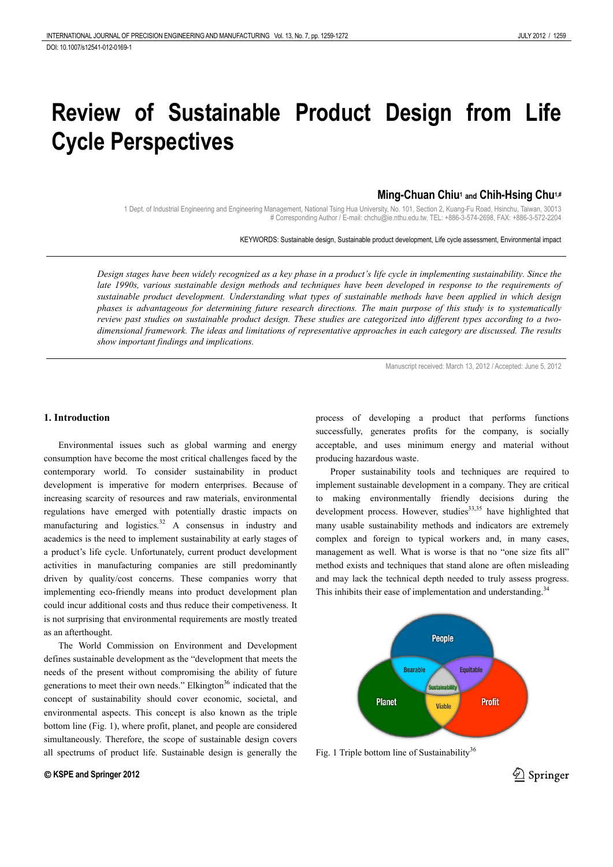# **Review of Sustainable Product Design from Life Cycle Perspectives**

## **Ming-Chuan Chiu1 and Chih-Hsing Chu1,#**

1 Dept. of Industrial Engineering and Engineering Management, National Tsing Hua University, No. 101, Section 2, Kuang-Fu Road, Hsinchu, Taiwan, 30013<br>2020–5-672-2204 Corresponding Author / E-mail: chchu@ie.nthu.edu.tw, T

KEYWORDS: Sustainable design, Sustainable product development, Life cycle assessment, Environmental impact

*Design stages have been widely recognized as a key phase in a product's life cycle in implementing sustainability. Since the late 1990s, various sustainable design methods and techniques have been developed in response to the requirements of sustainable product development. Understanding what types of sustainable methods have been applied in which design phases is advantageous for determining future research directions. The main purpose of this study is to systematically review past studies on sustainable product design. These studies are categorized into different types according to a twodimensional framework. The ideas and limitations of representative approaches in each category are discussed. The results show important findings and implications.* 

Manuscript received: March 13, 2012 / Accepted: June 5, 2012

#### **1. Introduction**

Environmental issues such as global warming and energy consumption have become the most critical challenges faced by the contemporary world. To consider sustainability in product development is imperative for modern enterprises. Because of increasing scarcity of resources and raw materials, environmental regulations have emerged with potentially drastic impacts on manufacturing and logistics.<sup>32</sup> A consensus in industry and academics is the need to implement sustainability at early stages of a product's life cycle. Unfortunately, current product development activities in manufacturing companies are still predominantly driven by quality/cost concerns. These companies worry that implementing eco-friendly means into product development plan could incur additional costs and thus reduce their competiveness. It is not surprising that environmental requirements are mostly treated as an afterthought.

The World Commission on Environment and Development defines sustainable development as the "development that meets the needs of the present without compromising the ability of future generations to meet their own needs." Elkington<sup>36</sup> indicated that the concept of sustainability should cover economic, societal, and environmental aspects. This concept is also known as the triple bottom line (Fig. 1), where profit, planet, and people are considered simultaneously. Therefore, the scope of sustainable design covers all spectrums of product life. Sustainable design is generally the

#### © **KSPE and Springer 2012**

process of developing a product that performs functions successfully, generates profits for the company, is socially acceptable, and uses minimum energy and material without producing hazardous waste.

Proper sustainability tools and techniques are required to implement sustainable development in a company. They are critical to making environmentally friendly decisions during the development process. However, studies<sup>33,35</sup> have highlighted that many usable sustainability methods and indicators are extremely complex and foreign to typical workers and, in many cases, management as well. What is worse is that no "one size fits all" method exists and techniques that stand alone are often misleading and may lack the technical depth needed to truly assess progress. This inhibits their ease of implementation and understanding.<sup>34</sup>



Fig. 1 Triple bottom line of Sustainability<sup>36</sup>

 $\circledast$  Springer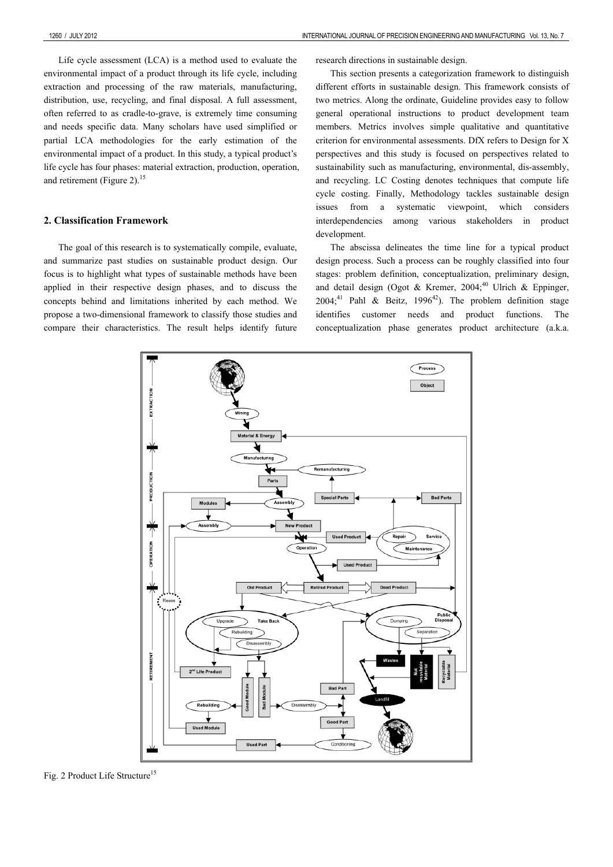Life cycle assessment (LCA) is a method used to evaluate the environmental impact of a product through its life cycle, including extraction and processing of the raw materials, manufacturing, distribution, use, recycling, and final disposal. A full assessment, often referred to as cradle-to-grave, is extremely time consuming and needs specific data. Many scholars have used simplified or partial LCA methodologies for the early estimation of the environmental impact of a product. In this study, a typical product's life cycle has four phases: material extraction, production, operation, and retirement (Figure 2). $15$ 

### **2. Classification Framework**

The goal of this research is to systematically compile, evaluate, and summarize past studies on sustainable product design. Our focus is to highlight what types of sustainable methods have been applied in their respective design phases, and to discuss the concepts behind and limitations inherited by each method. We propose a two-dimensional framework to classify those studies and compare their characteristics. The result helps identify future research directions in sustainable design.

This section presents a categorization framework to distinguish different efforts in sustainable design. This framework consists of two metrics. Along the ordinate, Guideline provides easy to follow general operational instructions to product development team members. Metrics involves simple qualitative and quantitative criterion for environmental assessments. DfX refers to Design for X perspectives and this study is focused on perspectives related to sustainability such as manufacturing, environmental, dis-assembly, and recycling. LC Costing denotes techniques that compute life cycle costing. Finally, Methodology tackles sustainable design issues from a systematic viewpoint, which considers interdependencies among various stakeholders in product development.

The abscissa delineates the time line for a typical product design process. Such a process can be roughly classified into four stages: problem definition, conceptualization, preliminary design, and detail design (Ogot & Kremer, 2004;<sup>40</sup> Ulrich & Eppinger, 2004;<sup>41</sup> Pahl & Beitz, 1996<sup>42</sup>). The problem definition stage identifies customer needs and product functions. The conceptualization phase generates product architecture (a.k.a.



Fig. 2 Product Life Structure<sup>15</sup>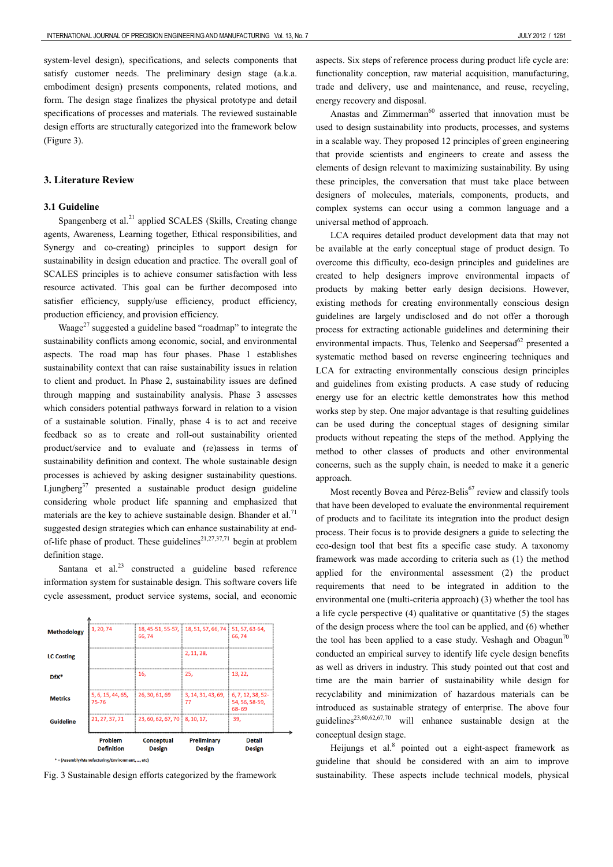system-level design), specifications, and selects components that satisfy customer needs. The preliminary design stage (a.k.a. embodiment design) presents components, related motions, and form. The design stage finalizes the physical prototype and detail specifications of processes and materials. The reviewed sustainable design efforts are structurally categorized into the framework below (Figure 3).

#### **3. Literature Review**

#### **3.1 Guideline**

Spangenberg et al.<sup>21</sup> applied SCALES (Skills, Creating change agents, Awareness, Learning together, Ethical responsibilities, and Synergy and co-creating) principles to support design for sustainability in design education and practice. The overall goal of SCALES principles is to achieve consumer satisfaction with less resource activated. This goal can be further decomposed into satisfier efficiency, supply/use efficiency, product efficiency, production efficiency, and provision efficiency.

Waage $^{27}$  suggested a guideline based "roadmap" to integrate the sustainability conflicts among economic, social, and environmental aspects. The road map has four phases. Phase 1 establishes sustainability context that can raise sustainability issues in relation to client and product. In Phase 2, sustainability issues are defined through mapping and sustainability analysis. Phase 3 assesses which considers potential pathways forward in relation to a vision of a sustainable solution. Finally, phase 4 is to act and receive feedback so as to create and roll-out sustainability oriented product/service and to evaluate and (re)assess in terms of sustainability definition and context. The whole sustainable design processes is achieved by asking designer sustainability questions. Ljungberg $37$  presented a sustainable product design guideline considering whole product life spanning and emphasized that materials are the key to achieve sustainable design. Bhander et al.<sup>71</sup> suggested design strategies which can enhance sustainability at endof-life phase of product. These guidelines<sup>21,27,37,71</sup> begin at problem definition stage.

Santana et al.<sup>23</sup> constructed a guideline based reference information system for sustainable design. This software covers life cycle assessment, product service systems, social, and economic



aspects. Six steps of reference process during product life cycle are: functionality conception, raw material acquisition, manufacturing, trade and delivery, use and maintenance, and reuse, recycling, energy recovery and disposal.

Anastas and Zimmerman<sup>60</sup> asserted that innovation must be used to design sustainability into products, processes, and systems in a scalable way. They proposed 12 principles of green engineering that provide scientists and engineers to create and assess the elements of design relevant to maximizing sustainability. By using these principles, the conversation that must take place between designers of molecules, materials, components, products, and complex systems can occur using a common language and a universal method of approach.

LCA requires detailed product development data that may not be available at the early conceptual stage of product design. To overcome this difficulty, eco-design principles and guidelines are created to help designers improve environmental impacts of products by making better early design decisions. However, existing methods for creating environmentally conscious design guidelines are largely undisclosed and do not offer a thorough process for extracting actionable guidelines and determining their environmental impacts. Thus, Telenko and Seepersad<sup>62</sup> presented a systematic method based on reverse engineering techniques and LCA for extracting environmentally conscious design principles and guidelines from existing products. A case study of reducing energy use for an electric kettle demonstrates how this method works step by step. One major advantage is that resulting guidelines can be used during the conceptual stages of designing similar products without repeating the steps of the method. Applying the method to other classes of products and other environmental concerns, such as the supply chain, is needed to make it a generic approach.

Most recently Bovea and Pérez-Belis<sup>67</sup> review and classify tools that have been developed to evaluate the environmental requirement of products and to facilitate its integration into the product design process. Their focus is to provide designers a guide to selecting the eco-design tool that best fits a specific case study. A taxonomy framework was made according to criteria such as (1) the method applied for the environmental assessment (2) the product requirements that need to be integrated in addition to the environmental one (multi-criteria approach) (3) whether the tool has a life cycle perspective (4) qualitative or quantitative (5) the stages of the design process where the tool can be applied, and (6) whether the tool has been applied to a case study. Veshagh and Obagun<sup>70</sup> conducted an empirical survey to identify life cycle design benefits as well as drivers in industry. This study pointed out that cost and time are the main barrier of sustainability while design for recyclability and minimization of hazardous materials can be introduced as sustainable strategy of enterprise. The above four guidelines<sup>23,60,62,67,70</sup> will enhance sustainable design at the conceptual design stage.

Heijungs et al. $8$  pointed out a eight-aspect framework as guideline that should be considered with an aim to improve Fig. 3 Sustainable design efforts categorized by the framework sustainability. These aspects include technical models, physical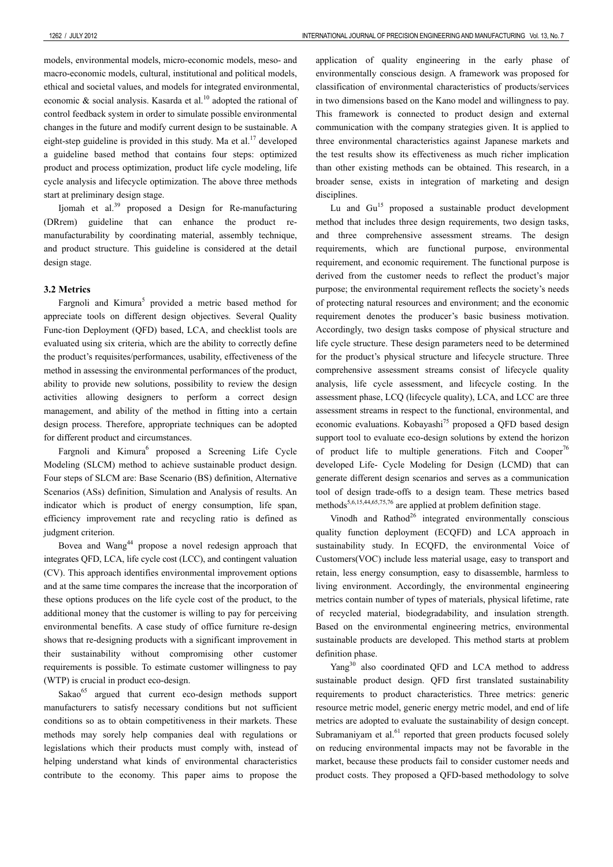models, environmental models, micro-economic models, meso- and macro-economic models, cultural, institutional and political models, ethical and societal values, and models for integrated environmental, economic & social analysis. Kasarda et al.<sup>10</sup> adopted the rational of control feedback system in order to simulate possible environmental changes in the future and modify current design to be sustainable. A eight-step guideline is provided in this study. Ma et al.<sup>17</sup> developed a guideline based method that contains four steps: optimized product and process optimization, product life cycle modeling, life cycle analysis and lifecycle optimization. The above three methods start at preliminary design stage.

Ijomah et al.39 proposed a Design for Re-manufacturing (DRrem) guideline that can enhance the product remanufacturability by coordinating material, assembly technique, and product structure. This guideline is considered at the detail design stage.

#### **3.2 Metrics**

Fargnoli and Kimura<sup>5</sup> provided a metric based method for appreciate tools on different design objectives. Several Quality Func-tion Deployment (QFD) based, LCA, and checklist tools are evaluated using six criteria, which are the ability to correctly define the product's requisites/performances, usability, effectiveness of the method in assessing the environmental performances of the product, ability to provide new solutions, possibility to review the design activities allowing designers to perform a correct design management, and ability of the method in fitting into a certain design process. Therefore, appropriate techniques can be adopted for different product and circumstances.

Fargnoli and Kimura<sup>6</sup> proposed a Screening Life Cycle Modeling (SLCM) method to achieve sustainable product design. Four steps of SLCM are: Base Scenario (BS) definition, Alternative Scenarios (ASs) definition, Simulation and Analysis of results. An indicator which is product of energy consumption, life span, efficiency improvement rate and recycling ratio is defined as judgment criterion.

Bovea and Wang<sup>44</sup> propose a novel redesign approach that integrates QFD, LCA, life cycle cost (LCC), and contingent valuation (CV). This approach identifies environmental improvement options and at the same time compares the increase that the incorporation of these options produces on the life cycle cost of the product, to the additional money that the customer is willing to pay for perceiving environmental benefits. A case study of office furniture re-design shows that re-designing products with a significant improvement in their sustainability without compromising other customer requirements is possible. To estimate customer willingness to pay (WTP) is crucial in product eco-design.

Sakao<sup>65</sup> argued that current eco-design methods support manufacturers to satisfy necessary conditions but not sufficient conditions so as to obtain competitiveness in their markets. These methods may sorely help companies deal with regulations or legislations which their products must comply with, instead of helping understand what kinds of environmental characteristics contribute to the economy. This paper aims to propose the application of quality engineering in the early phase of environmentally conscious design. A framework was proposed for classification of environmental characteristics of products/services in two dimensions based on the Kano model and willingness to pay. This framework is connected to product design and external communication with the company strategies given. It is applied to three environmental characteristics against Japanese markets and the test results show its effectiveness as much richer implication than other existing methods can be obtained. This research, in a broader sense, exists in integration of marketing and design disciplines.

Lu and  $Gu<sup>15</sup>$  proposed a sustainable product development method that includes three design requirements, two design tasks, and three comprehensive assessment streams. The design requirements, which are functional purpose, environmental requirement, and economic requirement. The functional purpose is derived from the customer needs to reflect the product's major purpose; the environmental requirement reflects the society's needs of protecting natural resources and environment; and the economic requirement denotes the producer's basic business motivation. Accordingly, two design tasks compose of physical structure and life cycle structure. These design parameters need to be determined for the product's physical structure and lifecycle structure. Three comprehensive assessment streams consist of lifecycle quality analysis, life cycle assessment, and lifecycle costing. In the assessment phase, LCQ (lifecycle quality), LCA, and LCC are three assessment streams in respect to the functional, environmental, and economic evaluations. Kobayashi<sup>75</sup> proposed a QFD based design support tool to evaluate eco-design solutions by extend the horizon of product life to multiple generations. Fitch and  $Cooper<sup>76</sup>$ developed Life- Cycle Modeling for Design (LCMD) that can generate different design scenarios and serves as a communication tool of design trade-offs to a design team. These metrics based methods<sup>5,6,15,44,65,75,76</sup> are applied at problem definition stage.

Vinodh and Rathod $^{26}$  integrated environmentally conscious quality function deployment (ECQFD) and LCA approach in sustainability study. In ECQFD, the environmental Voice of Customers(VOC) include less material usage, easy to transport and retain, less energy consumption, easy to disassemble, harmless to living environment. Accordingly, the environmental engineering metrics contain number of types of materials, physical lifetime, rate of recycled material, biodegradability, and insulation strength. Based on the environmental engineering metrics, environmental sustainable products are developed. This method starts at problem definition phase.

 $Yang<sup>30</sup>$  also coordinated QFD and LCA method to address sustainable product design. QFD first translated sustainability requirements to product characteristics. Three metrics: generic resource metric model, generic energy metric model, and end of life metrics are adopted to evaluate the sustainability of design concept. Subramaniyam et al. $61$  reported that green products focused solely on reducing environmental impacts may not be favorable in the market, because these products fail to consider customer needs and product costs. They proposed a QFD-based methodology to solve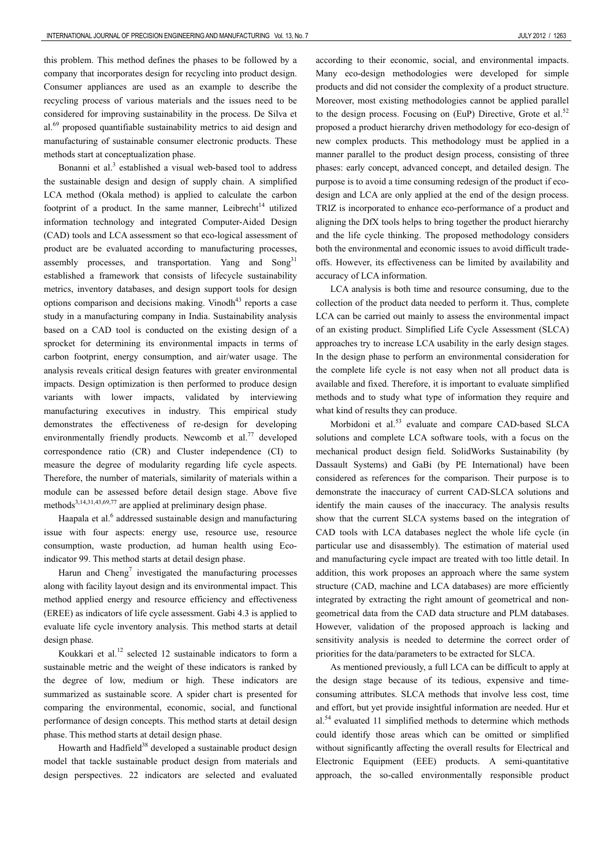this problem. This method defines the phases to be followed by a company that incorporates design for recycling into product design. Consumer appliances are used as an example to describe the recycling process of various materials and the issues need to be considered for improving sustainability in the process. De Silva et al.<sup>69</sup> proposed quantifiable sustainability metrics to aid design and manufacturing of sustainable consumer electronic products. These methods start at conceptualization phase.

Bonanni et al.<sup>3</sup> established a visual web-based tool to address the sustainable design and design of supply chain. A simplified LCA method (Okala method) is applied to calculate the carbon footprint of a product. In the same manner, Leibrecht<sup>14</sup> utilized information technology and integrated Computer-Aided Design (CAD) tools and LCA assessment so that eco-logical assessment of product are be evaluated according to manufacturing processes, assembly processes, and transportation. Yang and Song<sup>31</sup> established a framework that consists of lifecycle sustainability metrics, inventory databases, and design support tools for design options comparison and decisions making. Vinodh<sup>43</sup> reports a case study in a manufacturing company in India. Sustainability analysis based on a CAD tool is conducted on the existing design of a sprocket for determining its environmental impacts in terms of carbon footprint, energy consumption, and air/water usage. The analysis reveals critical design features with greater environmental impacts. Design optimization is then performed to produce design variants with lower impacts, validated by interviewing manufacturing executives in industry. This empirical study demonstrates the effectiveness of re-design for developing environmentally friendly products. Newcomb et al.<sup>77</sup> developed correspondence ratio (CR) and Cluster independence (CI) to measure the degree of modularity regarding life cycle aspects. Therefore, the number of materials, similarity of materials within a module can be assessed before detail design stage. Above five methods<sup>3,14,31,43,69,77</sup> are applied at preliminary design phase.

Haapala et al.<sup>6</sup> addressed sustainable design and manufacturing issue with four aspects: energy use, resource use, resource consumption, waste production, ad human health using Ecoindicator 99. This method starts at detail design phase.

Harun and  $Cheng<sup>7</sup>$  investigated the manufacturing processes along with facility layout design and its environmental impact. This method applied energy and resource efficiency and effectiveness (EREE) as indicators of life cycle assessment. Gabi 4.3 is applied to evaluate life cycle inventory analysis. This method starts at detail design phase.

Koukkari et al.<sup>12</sup> selected 12 sustainable indicators to form a sustainable metric and the weight of these indicators is ranked by the degree of low, medium or high. These indicators are summarized as sustainable score. A spider chart is presented for comparing the environmental, economic, social, and functional performance of design concepts. This method starts at detail design phase. This method starts at detail design phase.

Howarth and Hadfield<sup>38</sup> developed a sustainable product design model that tackle sustainable product design from materials and design perspectives. 22 indicators are selected and evaluated according to their economic, social, and environmental impacts. Many eco-design methodologies were developed for simple products and did not consider the complexity of a product structure. Moreover, most existing methodologies cannot be applied parallel to the design process. Focusing on (EuP) Directive, Grote et al.<sup>52</sup> proposed a product hierarchy driven methodology for eco-design of new complex products. This methodology must be applied in a manner parallel to the product design process, consisting of three phases: early concept, advanced concept, and detailed design. The purpose is to avoid a time consuming redesign of the product if ecodesign and LCA are only applied at the end of the design process. TRIZ is incorporated to enhance eco-performance of a product and aligning the DfX tools helps to bring together the product hierarchy and the life cycle thinking. The proposed methodology considers both the environmental and economic issues to avoid difficult tradeoffs. However, its effectiveness can be limited by availability and accuracy of LCA information.

LCA analysis is both time and resource consuming, due to the collection of the product data needed to perform it. Thus, complete LCA can be carried out mainly to assess the environmental impact of an existing product. Simplified Life Cycle Assessment (SLCA) approaches try to increase LCA usability in the early design stages. In the design phase to perform an environmental consideration for the complete life cycle is not easy when not all product data is available and fixed. Therefore, it is important to evaluate simplified methods and to study what type of information they require and what kind of results they can produce.

Morbidoni et al.<sup>53</sup> evaluate and compare CAD-based SLCA solutions and complete LCA software tools, with a focus on the mechanical product design field. SolidWorks Sustainability (by Dassault Systems) and GaBi (by PE International) have been considered as references for the comparison. Their purpose is to demonstrate the inaccuracy of current CAD-SLCA solutions and identify the main causes of the inaccuracy. The analysis results show that the current SLCA systems based on the integration of CAD tools with LCA databases neglect the whole life cycle (in particular use and disassembly). The estimation of material used and manufacturing cycle impact are treated with too little detail. In addition, this work proposes an approach where the same system structure (CAD, machine and LCA databases) are more efficiently integrated by extracting the right amount of geometrical and nongeometrical data from the CAD data structure and PLM databases. However, validation of the proposed approach is lacking and sensitivity analysis is needed to determine the correct order of priorities for the data/parameters to be extracted for SLCA.

As mentioned previously, a full LCA can be difficult to apply at the design stage because of its tedious, expensive and timeconsuming attributes. SLCA methods that involve less cost, time and effort, but yet provide insightful information are needed. Hur et al.<sup>54</sup> evaluated 11 simplified methods to determine which methods could identify those areas which can be omitted or simplified without significantly affecting the overall results for Electrical and Electronic Equipment (EEE) products. A semi-quantitative approach, the so-called environmentally responsible product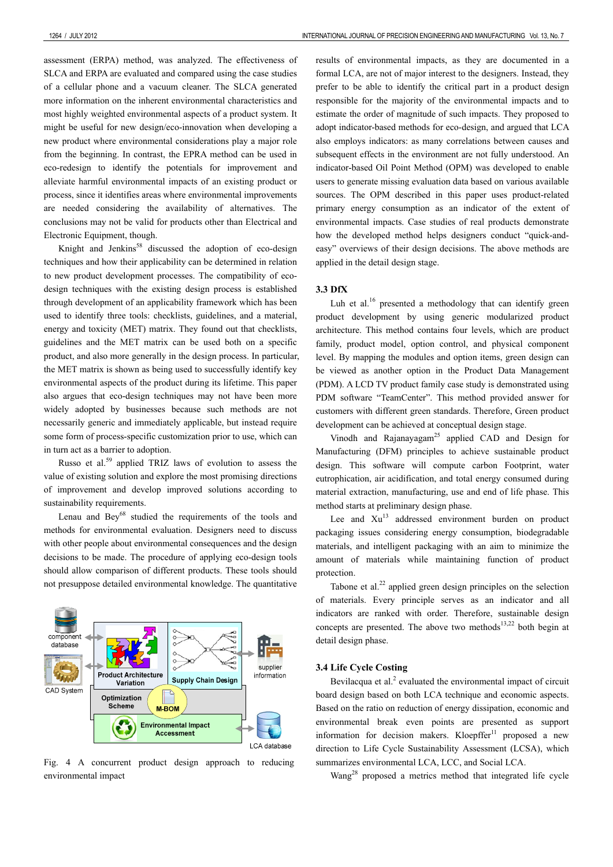assessment (ERPA) method, was analyzed. The effectiveness of SLCA and ERPA are evaluated and compared using the case studies of a cellular phone and a vacuum cleaner. The SLCA generated more information on the inherent environmental characteristics and most highly weighted environmental aspects of a product system. It might be useful for new design/eco-innovation when developing a new product where environmental considerations play a major role from the beginning. In contrast, the EPRA method can be used in eco-redesign to identify the potentials for improvement and alleviate harmful environmental impacts of an existing product or process, since it identifies areas where environmental improvements are needed considering the availability of alternatives. The conclusions may not be valid for products other than Electrical and Electronic Equipment, though.

Knight and Jenkins<sup>58</sup> discussed the adoption of eco-design techniques and how their applicability can be determined in relation to new product development processes. The compatibility of ecodesign techniques with the existing design process is established through development of an applicability framework which has been used to identify three tools: checklists, guidelines, and a material, energy and toxicity (MET) matrix. They found out that checklists, guidelines and the MET matrix can be used both on a specific product, and also more generally in the design process. In particular, the MET matrix is shown as being used to successfully identify key environmental aspects of the product during its lifetime. This paper also argues that eco-design techniques may not have been more widely adopted by businesses because such methods are not necessarily generic and immediately applicable, but instead require some form of process-specific customization prior to use, which can in turn act as a barrier to adoption.

Russo et al.59 applied TRIZ laws of evolution to assess the value of existing solution and explore the most promising directions of improvement and develop improved solutions according to sustainability requirements.

Lenau and Bey<sup>68</sup> studied the requirements of the tools and methods for environmental evaluation. Designers need to discuss with other people about environmental consequences and the design decisions to be made. The procedure of applying eco-design tools should allow comparison of different products. These tools should not presuppose detailed environmental knowledge. The quantitative



Fig. 4 A concurrent product design approach to reducing environmental impact

results of environmental impacts, as they are documented in a formal LCA, are not of major interest to the designers. Instead, they prefer to be able to identify the critical part in a product design responsible for the majority of the environmental impacts and to estimate the order of magnitude of such impacts. They proposed to adopt indicator-based methods for eco-design, and argued that LCA also employs indicators: as many correlations between causes and subsequent effects in the environment are not fully understood. An indicator-based Oil Point Method (OPM) was developed to enable users to generate missing evaluation data based on various available sources. The OPM described in this paper uses product-related primary energy consumption as an indicator of the extent of environmental impacts. Case studies of real products demonstrate how the developed method helps designers conduct "quick-andeasy" overviews of their design decisions. The above methods are applied in the detail design stage.

## **3.3 DfX**

Luh et al. $16$  presented a methodology that can identify green product development by using generic modularized product architecture. This method contains four levels, which are product family, product model, option control, and physical component level. By mapping the modules and option items, green design can be viewed as another option in the Product Data Management (PDM). A LCD TV product family case study is demonstrated using PDM software "TeamCenter". This method provided answer for customers with different green standards. Therefore, Green product development can be achieved at conceptual design stage.

Vinodh and Rajanayagam<sup>25</sup> applied CAD and Design for Manufacturing (DFM) principles to achieve sustainable product design. This software will compute carbon Footprint, water eutrophication, air acidification, and total energy consumed during material extraction, manufacturing, use and end of life phase. This method starts at preliminary design phase.

Lee and  $Xu^{13}$  addressed environment burden on product packaging issues considering energy consumption, biodegradable materials, and intelligent packaging with an aim to minimize the amount of materials while maintaining function of product protection.

Tabone et al.<sup>22</sup> applied green design principles on the selection of materials. Every principle serves as an indicator and all indicators are ranked with order. Therefore, sustainable design concepts are presented. The above two methods<sup>13,22</sup> both begin at detail design phase.

#### **3.4 Life Cycle Costing**

Bevilacqua et al.<sup>2</sup> evaluated the environmental impact of circuit board design based on both LCA technique and economic aspects. Based on the ratio on reduction of energy dissipation, economic and environmental break even points are presented as support information for decision makers. Kloepffer $11$  proposed a new direction to Life Cycle Sustainability Assessment (LCSA), which summarizes environmental LCA, LCC, and Social LCA.

Wang<sup>28</sup> proposed a metrics method that integrated life cycle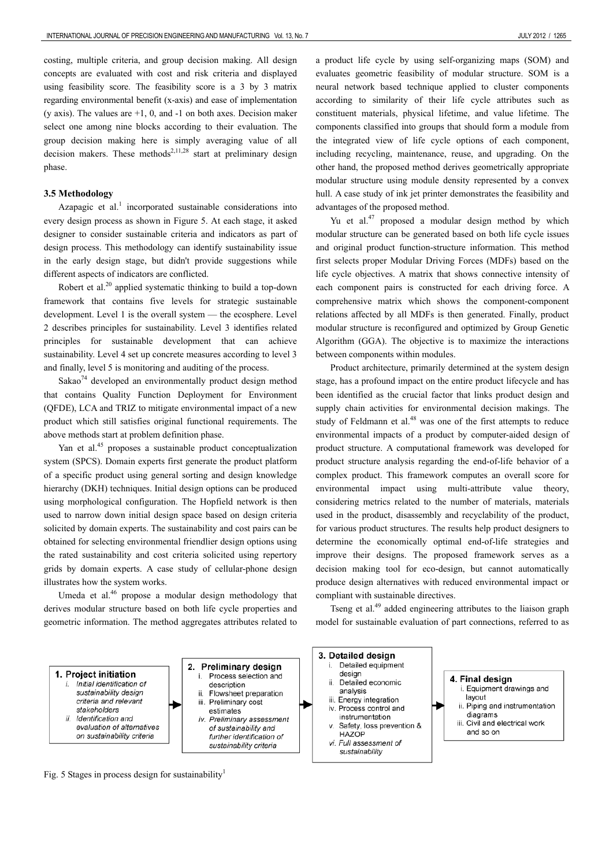costing, multiple criteria, and group decision making. All design concepts are evaluated with cost and risk criteria and displayed using feasibility score. The feasibility score is a 3 by 3 matrix regarding environmental benefit (x-axis) and ease of implementation (y axis). The values are  $+1$ , 0, and  $-1$  on both axes. Decision maker select one among nine blocks according to their evaluation. The group decision making here is simply averaging value of all decision makers. These methods<sup>2,11,28</sup> start at preliminary design phase.

#### **3.5 Methodology**

Azapagic et al.<sup>1</sup> incorporated sustainable considerations into every design process as shown in Figure 5. At each stage, it asked designer to consider sustainable criteria and indicators as part of design process. This methodology can identify sustainability issue in the early design stage, but didn't provide suggestions while different aspects of indicators are conflicted.

Robert et al.<sup>20</sup> applied systematic thinking to build a top-down framework that contains five levels for strategic sustainable development. Level 1 is the overall system — the ecosphere. Level 2 describes principles for sustainability. Level 3 identifies related principles for sustainable development that can achieve sustainability. Level 4 set up concrete measures according to level 3 and finally, level 5 is monitoring and auditing of the process.

 $Sakao<sup>74</sup>$  developed an environmentally product design method that contains Quality Function Deployment for Environment (QFDE), LCA and TRIZ to mitigate environmental impact of a new product which still satisfies original functional requirements. The above methods start at problem definition phase.

Yan et al.<sup>45</sup> proposes a sustainable product conceptualization system (SPCS). Domain experts first generate the product platform of a specific product using general sorting and design knowledge hierarchy (DKH) techniques. Initial design options can be produced using morphological configuration. The Hopfield network is then used to narrow down initial design space based on design criteria solicited by domain experts. The sustainability and cost pairs can be obtained for selecting environmental friendlier design options using the rated sustainability and cost criteria solicited using repertory grids by domain experts. A case study of cellular-phone design illustrates how the system works.

Umeda et al.<sup>46</sup> propose a modular design methodology that derives modular structure based on both life cycle properties and geometric information. The method aggregates attributes related to a product life cycle by using self-organizing maps (SOM) and evaluates geometric feasibility of modular structure. SOM is a neural network based technique applied to cluster components according to similarity of their life cycle attributes such as constituent materials, physical lifetime, and value lifetime. The components classified into groups that should form a module from the integrated view of life cycle options of each component, including recycling, maintenance, reuse, and upgrading. On the other hand, the proposed method derives geometrically appropriate modular structure using module density represented by a convex hull. A case study of ink jet printer demonstrates the feasibility and advantages of the proposed method.

Yu et al. $47$  proposed a modular design method by which modular structure can be generated based on both life cycle issues and original product function-structure information. This method first selects proper Modular Driving Forces (MDFs) based on the life cycle objectives. A matrix that shows connective intensity of each component pairs is constructed for each driving force. A comprehensive matrix which shows the component-component relations affected by all MDFs is then generated. Finally, product modular structure is reconfigured and optimized by Group Genetic Algorithm (GGA). The objective is to maximize the interactions between components within modules.

Product architecture, primarily determined at the system design stage, has a profound impact on the entire product lifecycle and has been identified as the crucial factor that links product design and supply chain activities for environmental decision makings. The study of Feldmann et al.<sup>48</sup> was one of the first attempts to reduce environmental impacts of a product by computer-aided design of product structure. A computational framework was developed for product structure analysis regarding the end-of-life behavior of a complex product. This framework computes an overall score for environmental impact using multi-attribute value theory, considering metrics related to the number of materials, materials used in the product, disassembly and recyclability of the product, for various product structures. The results help product designers to determine the economically optimal end-of-life strategies and improve their designs. The proposed framework serves as a decision making tool for eco-design, but cannot automatically produce design alternatives with reduced environmental impact or compliant with sustainable directives.

Tseng et al.<sup>49</sup> added engineering attributes to the liaison graph model for sustainable evaluation of part connections, referred to as



Fig. 5 Stages in process design for sustainability<sup>1</sup>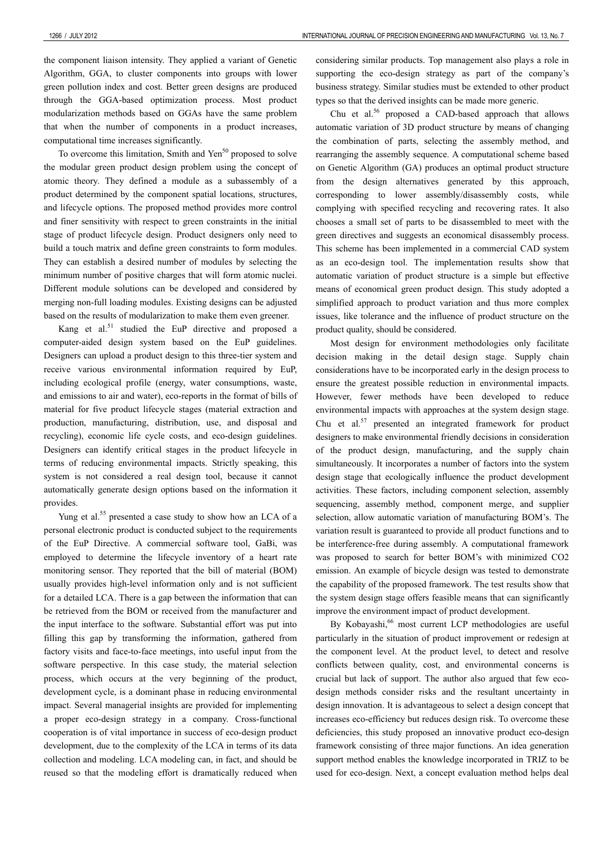the component liaison intensity. They applied a variant of Genetic Algorithm, GGA, to cluster components into groups with lower green pollution index and cost. Better green designs are produced through the GGA-based optimization process. Most product modularization methods based on GGAs have the same problem that when the number of components in a product increases, computational time increases significantly.

To overcome this limitation, Smith and Yen $50$  proposed to solve the modular green product design problem using the concept of atomic theory. They defined a module as a subassembly of a product determined by the component spatial locations, structures, and lifecycle options. The proposed method provides more control and finer sensitivity with respect to green constraints in the initial stage of product lifecycle design. Product designers only need to build a touch matrix and define green constraints to form modules. They can establish a desired number of modules by selecting the minimum number of positive charges that will form atomic nuclei. Different module solutions can be developed and considered by merging non-full loading modules. Existing designs can be adjusted based on the results of modularization to make them even greener.

Kang et al.<sup>51</sup> studied the EuP directive and proposed a computer-aided design system based on the EuP guidelines. Designers can upload a product design to this three-tier system and receive various environmental information required by EuP, including ecological profile (energy, water consumptions, waste, and emissions to air and water), eco-reports in the format of bills of material for five product lifecycle stages (material extraction and production, manufacturing, distribution, use, and disposal and recycling), economic life cycle costs, and eco-design guidelines. Designers can identify critical stages in the product lifecycle in terms of reducing environmental impacts. Strictly speaking, this system is not considered a real design tool, because it cannot automatically generate design options based on the information it provides.

Yung et al.<sup>55</sup> presented a case study to show how an LCA of a personal electronic product is conducted subject to the requirements of the EuP Directive. A commercial software tool, GaBi, was employed to determine the lifecycle inventory of a heart rate monitoring sensor. They reported that the bill of material (BOM) usually provides high-level information only and is not sufficient for a detailed LCA. There is a gap between the information that can be retrieved from the BOM or received from the manufacturer and the input interface to the software. Substantial effort was put into filling this gap by transforming the information, gathered from factory visits and face-to-face meetings, into useful input from the software perspective. In this case study, the material selection process, which occurs at the very beginning of the product, development cycle, is a dominant phase in reducing environmental impact. Several managerial insights are provided for implementing a proper eco-design strategy in a company. Cross-functional cooperation is of vital importance in success of eco-design product development, due to the complexity of the LCA in terms of its data collection and modeling. LCA modeling can, in fact, and should be reused so that the modeling effort is dramatically reduced when

considering similar products. Top management also plays a role in supporting the eco-design strategy as part of the company's business strategy. Similar studies must be extended to other product types so that the derived insights can be made more generic.

Chu et al.<sup>56</sup> proposed a CAD-based approach that allows automatic variation of 3D product structure by means of changing the combination of parts, selecting the assembly method, and rearranging the assembly sequence. A computational scheme based on Genetic Algorithm (GA) produces an optimal product structure from the design alternatives generated by this approach, corresponding to lower assembly/disassembly costs, while complying with specified recycling and recovering rates. It also chooses a small set of parts to be disassembled to meet with the green directives and suggests an economical disassembly process. This scheme has been implemented in a commercial CAD system as an eco-design tool. The implementation results show that automatic variation of product structure is a simple but effective means of economical green product design. This study adopted a simplified approach to product variation and thus more complex issues, like tolerance and the influence of product structure on the product quality, should be considered.

Most design for environment methodologies only facilitate decision making in the detail design stage. Supply chain considerations have to be incorporated early in the design process to ensure the greatest possible reduction in environmental impacts. However, fewer methods have been developed to reduce environmental impacts with approaches at the system design stage. Chu et al. $57$  presented an integrated framework for product designers to make environmental friendly decisions in consideration of the product design, manufacturing, and the supply chain simultaneously. It incorporates a number of factors into the system design stage that ecologically influence the product development activities. These factors, including component selection, assembly sequencing, assembly method, component merge, and supplier selection, allow automatic variation of manufacturing BOM's. The variation result is guaranteed to provide all product functions and to be interference-free during assembly. A computational framework was proposed to search for better BOM's with minimized CO2 emission. An example of bicycle design was tested to demonstrate the capability of the proposed framework. The test results show that the system design stage offers feasible means that can significantly improve the environment impact of product development.

By Kobayashi,<sup>66</sup> most current LCP methodologies are useful particularly in the situation of product improvement or redesign at the component level. At the product level, to detect and resolve conflicts between quality, cost, and environmental concerns is crucial but lack of support. The author also argued that few ecodesign methods consider risks and the resultant uncertainty in design innovation. It is advantageous to select a design concept that increases eco-efficiency but reduces design risk. To overcome these deficiencies, this study proposed an innovative product eco-design framework consisting of three major functions. An idea generation support method enables the knowledge incorporated in TRIZ to be used for eco-design. Next, a concept evaluation method helps deal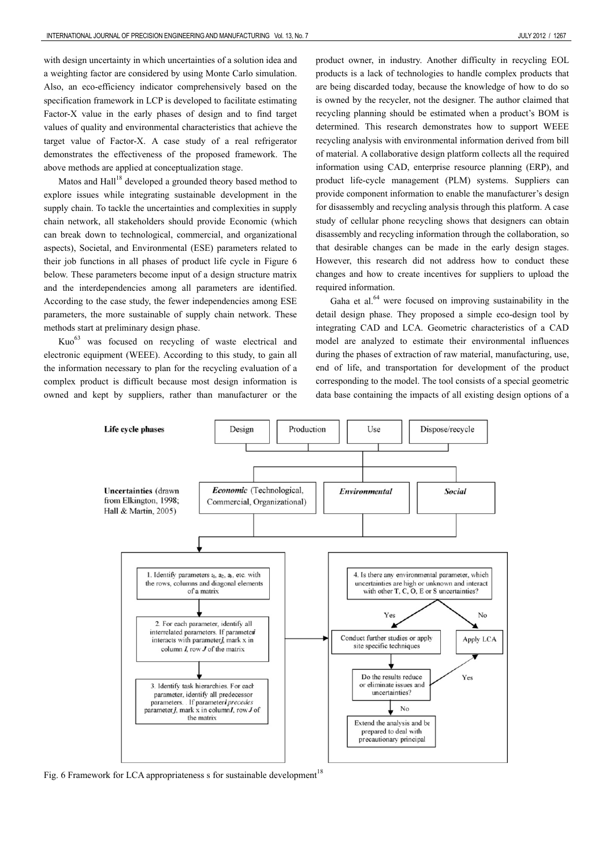with design uncertainty in which uncertainties of a solution idea and a weighting factor are considered by using Monte Carlo simulation. Also, an eco-efficiency indicator comprehensively based on the specification framework in LCP is developed to facilitate estimating Factor-X value in the early phases of design and to find target values of quality and environmental characteristics that achieve the target value of Factor-X. A case study of a real refrigerator demonstrates the effectiveness of the proposed framework. The above methods are applied at conceptualization stage.

Matos and  $\text{Hall}^{18}$  developed a grounded theory based method to explore issues while integrating sustainable development in the supply chain. To tackle the uncertainties and complexities in supply chain network, all stakeholders should provide Economic (which can break down to technological, commercial, and organizational aspects), Societal, and Environmental (ESE) parameters related to their job functions in all phases of product life cycle in Figure 6 below. These parameters become input of a design structure matrix and the interdependencies among all parameters are identified. According to the case study, the fewer independencies among ESE parameters, the more sustainable of supply chain network. These methods start at preliminary design phase.

Kuo63 was focused on recycling of waste electrical and electronic equipment (WEEE). According to this study, to gain all the information necessary to plan for the recycling evaluation of a complex product is difficult because most design information is owned and kept by suppliers, rather than manufacturer or the product owner, in industry. Another difficulty in recycling EOL products is a lack of technologies to handle complex products that are being discarded today, because the knowledge of how to do so is owned by the recycler, not the designer. The author claimed that recycling planning should be estimated when a product's BOM is determined. This research demonstrates how to support WEEE recycling analysis with environmental information derived from bill of material. A collaborative design platform collects all the required information using CAD, enterprise resource planning (ERP), and product life-cycle management (PLM) systems. Suppliers can provide component information to enable the manufacturer's design for disassembly and recycling analysis through this platform. A case study of cellular phone recycling shows that designers can obtain disassembly and recycling information through the collaboration, so that desirable changes can be made in the early design stages. However, this research did not address how to conduct these changes and how to create incentives for suppliers to upload the required information.

Gaha et al. $64$  were focused on improving sustainability in the detail design phase. They proposed a simple eco-design tool by integrating CAD and LCA. Geometric characteristics of a CAD model are analyzed to estimate their environmental influences during the phases of extraction of raw material, manufacturing, use, end of life, and transportation for development of the product corresponding to the model. The tool consists of a special geometric data base containing the impacts of all existing design options of a



Fig. 6 Framework for LCA appropriateness s for sustainable development<sup>18</sup>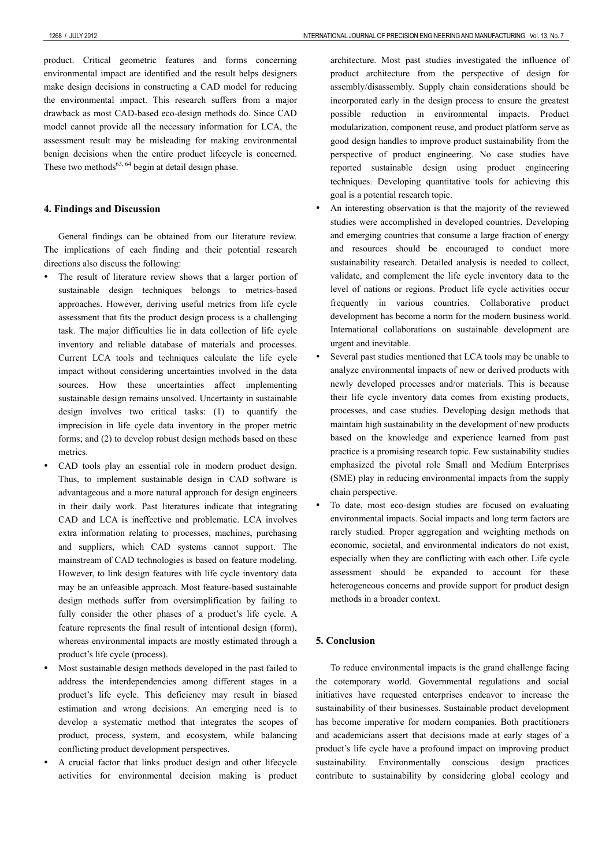product. Critical geometric features and forms concerning environmental impact are identified and the result helps designers make design decisions in constructing a CAD model for reducing the environmental impact. This research suffers from a major drawback as most CAD-based eco-design methods do. Since CAD model cannot provide all the necessary information for LCA, the assessment result may be misleading for making environmental benign decisions when the entire product lifecycle is concerned. These two methods<sup>63, 64</sup> begin at detail design phase.

## **4. Findings and Discussion**

General findings can be obtained from our literature review. The implications of each finding and their potential research directions also discuss the following:

- The result of literature review shows that a larger portion of sustainable design techniques belongs to metrics-based approaches. However, deriving useful metrics from life cycle assessment that fits the product design process is a challenging task. The major difficulties lie in data collection of life cycle inventory and reliable database of materials and processes. Current LCA tools and techniques calculate the life cycle impact without considering uncertainties involved in the data sources. How these uncertainties affect implementing sustainable design remains unsolved. Uncertainty in sustainable design involves two critical tasks: (1) to quantify the imprecision in life cycle data inventory in the proper metric forms; and (2) to develop robust design methods based on these metrics.
- CAD tools play an essential role in modern product design. Thus, to implement sustainable design in CAD software is advantageous and a more natural approach for design engineers in their daily work. Past literatures indicate that integrating CAD and LCA is ineffective and problematic. LCA involves extra information relating to processes, machines, purchasing and suppliers, which CAD systems cannot support. The mainstream of CAD technologies is based on feature modeling. However, to link design features with life cycle inventory data may be an unfeasible approach. Most feature-based sustainable design methods suffer from oversimplification by failing to fully consider the other phases of a product's life cycle. A feature represents the final result of intentional design (form), whereas environmental impacts are mostly estimated through a product's life cycle (process).
- Most sustainable design methods developed in the past failed to address the interdependencies among different stages in a product's life cycle. This deficiency may result in biased estimation and wrong decisions. An emerging need is to develop a systematic method that integrates the scopes of product, process, system, and ecosystem, while balancing conflicting product development perspectives.
- A crucial factor that links product design and other lifecycle activities for environmental decision making is product

architecture. Most past studies investigated the influence of product architecture from the perspective of design for assembly/disassembly. Supply chain considerations should be incorporated early in the design process to ensure the greatest possible reduction in environmental impacts. Product modularization, component reuse, and product platform serve as good design handles to improve product sustainability from the perspective of product engineering. No case studies have reported sustainable design using product engineering techniques. Developing quantitative tools for achieving this goal is a potential research topic.

- An interesting observation is that the majority of the reviewed studies were accomplished in developed countries. Developing and emerging countries that consume a large fraction of energy and resources should be encouraged to conduct more sustainability research. Detailed analysis is needed to collect, validate, and complement the life cycle inventory data to the level of nations or regions. Product life cycle activities occur frequently in various countries. Collaborative product development has become a norm for the modern business world. International collaborations on sustainable development are urgent and inevitable.
- Several past studies mentioned that LCA tools may be unable to analyze environmental impacts of new or derived products with newly developed processes and/or materials. This is because their life cycle inventory data comes from existing products, processes, and case studies. Developing design methods that maintain high sustainability in the development of new products based on the knowledge and experience learned from past practice is a promising research topic. Few sustainability studies emphasized the pivotal role Small and Medium Enterprises (SME) play in reducing environmental impacts from the supply chain perspective.
- To date, most eco-design studies are focused on evaluating environmental impacts. Social impacts and long term factors are rarely studied. Proper aggregation and weighting methods on economic, societal, and environmental indicators do not exist, especially when they are conflicting with each other. Life cycle assessment should be expanded to account for these heterogeneous concerns and provide support for product design methods in a broader context.

#### **5. Conclusion**

To reduce environmental impacts is the grand challenge facing the cotemporary world. Governmental regulations and social initiatives have requested enterprises endeavor to increase the sustainability of their businesses. Sustainable product development has become imperative for modern companies. Both practitioners and academicians assert that decisions made at early stages of a product's life cycle have a profound impact on improving product sustainability. Environmentally conscious design practices contribute to sustainability by considering global ecology and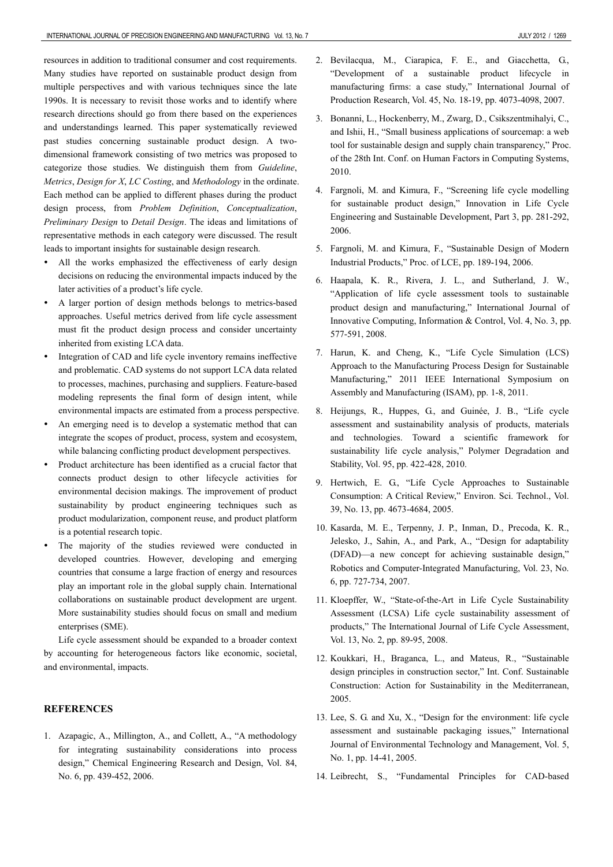resources in addition to traditional consumer and cost requirements. Many studies have reported on sustainable product design from multiple perspectives and with various techniques since the late 1990s. It is necessary to revisit those works and to identify where research directions should go from there based on the experiences and understandings learned. This paper systematically reviewed past studies concerning sustainable product design. A twodimensional framework consisting of two metrics was proposed to categorize those studies. We distinguish them from *Guideline*, *Metrics*, *Design for X*, *LC Costing*, and *Methodology* in the ordinate. Each method can be applied to different phases during the product design process, from *Problem Definition*, *Conceptualization*, *Preliminary Design* to *Detail Design*. The ideas and limitations of representative methods in each category were discussed. The result leads to important insights for sustainable design research.

- All the works emphasized the effectiveness of early design decisions on reducing the environmental impacts induced by the later activities of a product's life cycle.
- A larger portion of design methods belongs to metrics-based approaches. Useful metrics derived from life cycle assessment must fit the product design process and consider uncertainty inherited from existing LCA data.
- Integration of CAD and life cycle inventory remains ineffective and problematic. CAD systems do not support LCA data related to processes, machines, purchasing and suppliers. Feature-based modeling represents the final form of design intent, while environmental impacts are estimated from a process perspective.
- An emerging need is to develop a systematic method that can integrate the scopes of product, process, system and ecosystem, while balancing conflicting product development perspectives.
- Product architecture has been identified as a crucial factor that connects product design to other lifecycle activities for environmental decision makings. The improvement of product sustainability by product engineering techniques such as product modularization, component reuse, and product platform is a potential research topic.
- The majority of the studies reviewed were conducted in developed countries. However, developing and emerging countries that consume a large fraction of energy and resources play an important role in the global supply chain. International collaborations on sustainable product development are urgent. More sustainability studies should focus on small and medium enterprises (SME).

Life cycle assessment should be expanded to a broader context by accounting for heterogeneous factors like economic, societal, and environmental, impacts.

## **REFERENCES**

1. Azapagic, A., Millington, A., and Collett, A., "A methodology for integrating sustainability considerations into process design," Chemical Engineering Research and Design, Vol. 84, No. 6, pp. 439-452, 2006.

- 2. Bevilacqua, M., Ciarapica, F. E., and Giacchetta, G., "Development of a sustainable product lifecycle in manufacturing firms: a case study," International Journal of Production Research, Vol. 45, No. 18-19, pp. 4073-4098, 2007.
- 3. Bonanni, L., Hockenberry, M., Zwarg, D., Csikszentmihalyi, C., and Ishii, H., "Small business applications of sourcemap: a web tool for sustainable design and supply chain transparency," Proc. of the 28th Int. Conf. on Human Factors in Computing Systems, 2010.
- 4. Fargnoli, M. and Kimura, F., "Screening life cycle modelling for sustainable product design," Innovation in Life Cycle Engineering and Sustainable Development, Part 3, pp. 281-292, 2006.
- 5. Fargnoli, M. and Kimura, F., "Sustainable Design of Modern Industrial Products," Proc. of LCE, pp. 189-194, 2006.
- 6. Haapala, K. R., Rivera, J. L., and Sutherland, J. W., "Application of life cycle assessment tools to sustainable product design and manufacturing," International Journal of Innovative Computing, Information & Control, Vol. 4, No. 3, pp. 577-591, 2008.
- 7. Harun, K. and Cheng, K., "Life Cycle Simulation (LCS) Approach to the Manufacturing Process Design for Sustainable Manufacturing," 2011 IEEE International Symposium on Assembly and Manufacturing (ISAM), pp. 1-8, 2011.
- 8. Heijungs, R., Huppes, G., and Guinée, J. B., "Life cycle assessment and sustainability analysis of products, materials and technologies. Toward a scientific framework for sustainability life cycle analysis," Polymer Degradation and Stability, Vol. 95, pp. 422-428, 2010.
- 9. Hertwich, E. G., "Life Cycle Approaches to Sustainable Consumption: A Critical Review," Environ. Sci. Technol., Vol. 39, No. 13, pp. 4673-4684, 2005.
- 10. Kasarda, M. E., Terpenny, J. P., Inman, D., Precoda, K. R., Jelesko, J., Sahin, A., and Park, A., "Design for adaptability (DFAD)—a new concept for achieving sustainable design," Robotics and Computer-Integrated Manufacturing, Vol. 23, No. 6, pp. 727-734, 2007.
- 11. Kloepffer, W., "State-of-the-Art in Life Cycle Sustainability Assessment (LCSA) Life cycle sustainability assessment of products," The International Journal of Life Cycle Assessment, Vol. 13, No. 2, pp. 89-95, 2008.
- 12. Koukkari, H., Braganca, L., and Mateus, R., "Sustainable design principles in construction sector," Int. Conf. Sustainable Construction: Action for Sustainability in the Mediterranean, 2005.
- 13. Lee, S. G. and Xu, X., "Design for the environment: life cycle assessment and sustainable packaging issues," International Journal of Environmental Technology and Management, Vol. 5, No. 1, pp. 14-41, 2005.
- 14. Leibrecht, S., "Fundamental Principles for CAD-based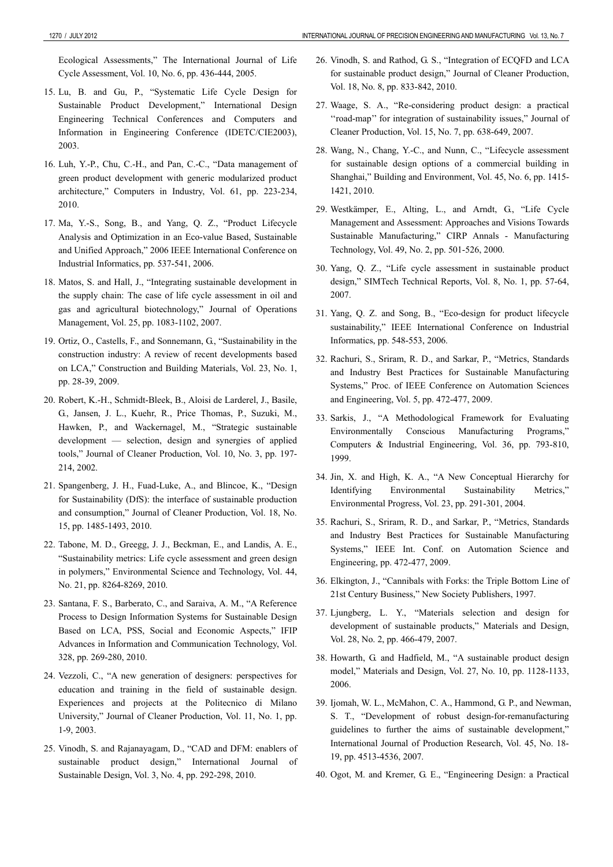Ecological Assessments," The International Journal of Life Cycle Assessment, Vol. 10, No. 6, pp. 436-444, 2005.

- 15. Lu, B. and Gu, P., "Systematic Life Cycle Design for Sustainable Product Development," International Design Engineering Technical Conferences and Computers and Information in Engineering Conference (IDETC/CIE2003), 2003.
- 16. Luh, Y.-P., Chu, C.-H., and Pan, C.-C., "Data management of green product development with generic modularized product architecture," Computers in Industry, Vol. 61, pp. 223-234, 2010.
- 17. Ma, Y.-S., Song, B., and Yang, Q. Z., "Product Lifecycle Analysis and Optimization in an Eco-value Based, Sustainable and Unified Approach," 2006 IEEE International Conference on Industrial Informatics, pp. 537-541, 2006.
- 18. Matos, S. and Hall, J., "Integrating sustainable development in the supply chain: The case of life cycle assessment in oil and gas and agricultural biotechnology," Journal of Operations Management, Vol. 25, pp. 1083-1102, 2007.
- 19. Ortiz, O., Castells, F., and Sonnemann, G., "Sustainability in the construction industry: A review of recent developments based on LCA," Construction and Building Materials, Vol. 23, No. 1, pp. 28-39, 2009.
- 20. Robert, K.-H., Schmidt-Bleek, B., Aloisi de Larderel, J., Basile, G., Jansen, J. L., Kuehr, R., Price Thomas, P., Suzuki, M., Hawken, P., and Wackernagel, M., "Strategic sustainable development — selection, design and synergies of applied tools," Journal of Cleaner Production, Vol. 10, No. 3, pp. 197- 214, 2002.
- 21. Spangenberg, J. H., Fuad-Luke, A., and Blincoe, K., "Design for Sustainability (DfS): the interface of sustainable production and consumption," Journal of Cleaner Production, Vol. 18, No. 15, pp. 1485-1493, 2010.
- 22. Tabone, M. D., Greegg, J. J., Beckman, E., and Landis, A. E., "Sustainability metrics: Life cycle assessment and green design in polymers," Environmental Science and Technology, Vol. 44, No. 21, pp. 8264-8269, 2010.
- 23. Santana, F. S., Barberato, C., and Saraiva, A. M., "A Reference Process to Design Information Systems for Sustainable Design Based on LCA, PSS, Social and Economic Aspects," IFIP Advances in Information and Communication Technology, Vol. 328, pp. 269-280, 2010.
- 24. Vezzoli, C., "A new generation of designers: perspectives for education and training in the field of sustainable design. Experiences and projects at the Politecnico di Milano University," Journal of Cleaner Production, Vol. 11, No. 1, pp. 1-9, 2003.
- 25. Vinodh, S. and Rajanayagam, D., "CAD and DFM: enablers of sustainable product design," International Journal of Sustainable Design, Vol. 3, No. 4, pp. 292-298, 2010.
- 26. Vinodh, S. and Rathod, G. S., "Integration of ECQFD and LCA for sustainable product design," Journal of Cleaner Production, Vol. 18, No. 8, pp. 833-842, 2010.
- 27. Waage, S. A., "Re-considering product design: a practical ''road-map'' for integration of sustainability issues," Journal of Cleaner Production, Vol. 15, No. 7, pp. 638-649, 2007.
- 28. Wang, N., Chang, Y.-C., and Nunn, C., "Lifecycle assessment for sustainable design options of a commercial building in Shanghai," Building and Environment, Vol. 45, No. 6, pp. 1415- 1421, 2010.
- 29. Westkämper, E., Alting, L., and Arndt, G., "Life Cycle Management and Assessment: Approaches and Visions Towards Sustainable Manufacturing," CIRP Annals - Manufacturing Technology, Vol. 49, No. 2, pp. 501-526, 2000.
- 30. Yang, Q. Z., "Life cycle assessment in sustainable product design," SIMTech Technical Reports, Vol. 8, No. 1, pp. 57-64, 2007.
- 31. Yang, Q. Z. and Song, B., "Eco-design for product lifecycle sustainability," IEEE International Conference on Industrial Informatics, pp. 548-553, 2006.
- 32. Rachuri, S., Sriram, R. D., and Sarkar, P., "Metrics, Standards and Industry Best Practices for Sustainable Manufacturing Systems," Proc. of IEEE Conference on Automation Sciences and Engineering, Vol. 5, pp. 472-477, 2009.
- 33. Sarkis, J., "A Methodological Framework for Evaluating Environmentally Conscious Manufacturing Programs," Computers & Industrial Engineering, Vol. 36, pp. 793-810, 1999.
- 34. Jin, X. and High, K. A., "A New Conceptual Hierarchy for Identifying Environmental Sustainability Metrics," Environmental Progress, Vol. 23, pp. 291-301, 2004.
- 35. Rachuri, S., Sriram, R. D., and Sarkar, P., "Metrics, Standards and Industry Best Practices for Sustainable Manufacturing Systems," IEEE Int. Conf. on Automation Science and Engineering, pp. 472-477, 2009.
- 36. Elkington, J., "Cannibals with Forks: the Triple Bottom Line of 21st Century Business," New Society Publishers, 1997.
- 37. Ljungberg, L. Y., "Materials selection and design for development of sustainable products," Materials and Design, Vol. 28, No. 2, pp. 466-479, 2007.
- 38. Howarth, G. and Hadfield, M., "A sustainable product design model," Materials and Design, Vol. 27, No. 10, pp. 1128-1133, 2006.
- 39. Ijomah, W. L., McMahon, C. A., Hammond, G. P., and Newman, S. T., "Development of robust design-for-remanufacturing guidelines to further the aims of sustainable development," International Journal of Production Research, Vol. 45, No. 18- 19, pp. 4513-4536, 2007.
- 40. Ogot, M. and Kremer, G. E., "Engineering Design: a Practical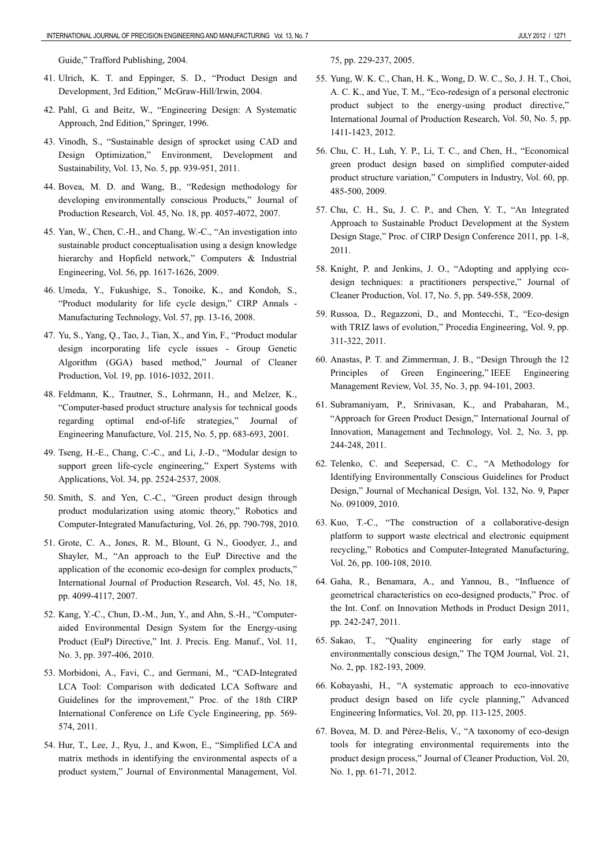Guide," Trafford Publishing, 2004.

- 41. Ulrich, K. T. and Eppinger, S. D., "Product Design and Development, 3rd Edition," McGraw-Hill/Irwin, 2004.
- 42. Pahl, G. and Beitz, W., "Engineering Design: A Systematic Approach, 2nd Edition," Springer, 1996.
- 43. Vinodh, S., "Sustainable design of sprocket using CAD and Design Optimization," Environment, Development and Sustainability, Vol. 13, No. 5, pp. 939-951, 2011.
- 44. Bovea, M. D. and Wang, B., "Redesign methodology for developing environmentally conscious Products," Journal of Production Research, Vol. 45, No. 18, pp. 4057-4072, 2007.
- 45. Yan, W., Chen, C.-H., and Chang, W.-C., "An investigation into sustainable product conceptualisation using a design knowledge hierarchy and Hopfield network," Computers & Industrial Engineering, Vol. 56, pp. 1617-1626, 2009.
- 46. Umeda, Y., Fukushige, S., Tonoike, K., and Kondoh, S., "Product modularity for life cycle design," CIRP Annals - Manufacturing Technology, Vol. 57, pp. 13-16, 2008.
- 47. Yu, S., Yang, Q., Tao, J., Tian, X., and Yin, F., "Product modular design incorporating life cycle issues - Group Genetic Algorithm (GGA) based method," Journal of Cleaner Production, Vol. 19, pp. 1016-1032, 2011.
- 48. Feldmann, K., Trautner, S., Lohrmann, H., and Melzer, K., "Computer-based product structure analysis for technical goods regarding optimal end-of-life strategies," Journal of Engineering Manufacture, Vol. 215, No. 5, pp. 683-693, 2001.
- 49. Tseng, H.-E., Chang, C.-C., and Li, J.-D., "Modular design to support green life-cycle engineering," Expert Systems with Applications, Vol. 34, pp. 2524-2537, 2008.
- 50. Smith, S. and Yen, C.-C., "Green product design through product modularization using atomic theory," Robotics and Computer-Integrated Manufacturing, Vol. 26, pp. 790-798, 2010.
- 51. Grote, C. A., Jones, R. M., Blount, G. N., Goodyer, J., and Shayler, M., "An approach to the EuP Directive and the application of the economic eco-design for complex products," International Journal of Production Research, Vol. 45, No. 18, pp. 4099-4117, 2007.
- 52. Kang, Y.-C., Chun, D.-M., Jun, Y., and Ahn, S.-H., "Computeraided Environmental Design System for the Energy-using Product (EuP) Directive," Int. J. Precis. Eng. Manuf., Vol. 11, No. 3, pp. 397-406, 2010.
- 53. Morbidoni, A., Favi, C., and Germani, M., "CAD-Integrated LCA Tool: Comparison with dedicated LCA Software and Guidelines for the improvement," Proc. of the 18th CIRP International Conference on Life Cycle Engineering, pp. 569- 574, 2011.
- 54. Hur, T., Lee, J., Ryu, J., and Kwon, E., "Simplified LCA and matrix methods in identifying the environmental aspects of a product system," Journal of Environmental Management, Vol.

75, pp. 229-237, 2005.

- 55. Yung, W. K. C., Chan, H. K., Wong, D. W. C., So, J. H. T., Choi, A. C. K., and Yue, T. M., "Eco-redesign of a personal electronic product subject to the energy-using product directive," International Journal of Production Research, Vol. 50, No. 5, pp. 1411-1423, 2012.
- 56. Chu, C. H., Luh, Y. P., Li, T. C., and Chen, H., "Economical green product design based on simplified computer-aided product structure variation," Computers in Industry, Vol. 60, pp. 485-500, 2009.
- 57. Chu, C. H., Su, J. C. P., and Chen, Y. T., "An Integrated Approach to Sustainable Product Development at the System Design Stage," Proc. of CIRP Design Conference 2011, pp. 1-8, 2011.
- 58. Knight, P. and Jenkins, J. O., "Adopting and applying ecodesign techniques: a practitioners perspective," Journal of Cleaner Production, Vol. 17, No. 5, pp. 549-558, 2009.
- 59. Russoa, D., Regazzoni, D., and Montecchi, T., "Eco-design with TRIZ laws of evolution," Procedia Engineering, Vol. 9, pp. 311-322, 2011.
- 60. Anastas, P. T. and Zimmerman, J. B., "Design Through the 12 Principles of Green Engineering," IEEE Engineering Management Review, Vol. 35, No. 3, pp. 94-101, 2003.
- 61. Subramaniyam, P., Srinivasan, K., and Prabaharan, M., "Approach for Green Product Design," International Journal of Innovation, Management and Technology, Vol. 2, No. 3, pp. 244-248, 2011.
- 62. Telenko, C. and Seepersad, C. C., "A Methodology for Identifying Environmentally Conscious Guidelines for Product Design," Journal of Mechanical Design, Vol. 132, No. 9, Paper No. 091009, 2010.
- 63. Kuo, T.-C., "The construction of a collaborative-design platform to support waste electrical and electronic equipment recycling," Robotics and Computer-Integrated Manufacturing, Vol. 26, pp. 100-108, 2010.
- 64. Gaha, R., Benamara, A., and Yannou, B., "Influence of geometrical characteristics on eco-designed products," Proc. of the Int. Conf. on Innovation Methods in Product Design 2011, pp. 242-247, 2011.
- 65. Sakao, T., "Quality engineering for early stage of environmentally conscious design," The TQM Journal, Vol. 21, No. 2, pp. 182-193, 2009.
- 66. Kobayashi, H., "A systematic approach to eco-innovative product design based on life cycle planning," Advanced Engineering Informatics, Vol. 20, pp. 113-125, 2005.
- 67. Bovea, M. D. and Pérez-Belis, V., "A taxonomy of eco-design tools for integrating environmental requirements into the product design process," Journal of Cleaner Production, Vol. 20, No. 1, pp. 61-71, 2012.